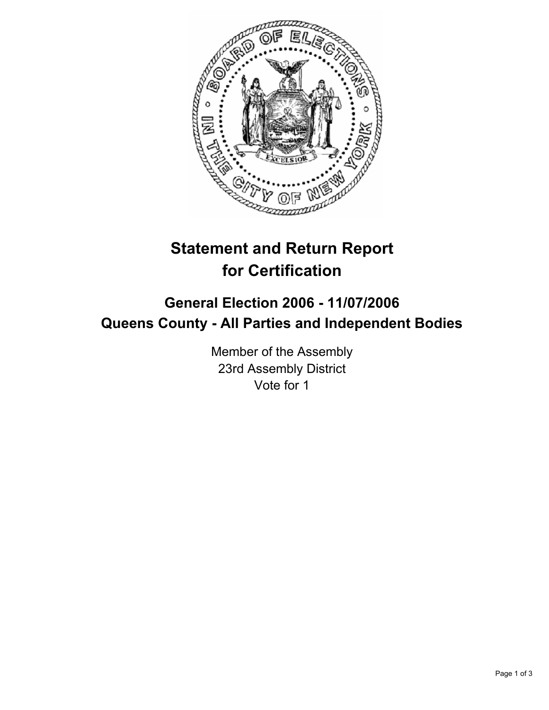

## **Statement and Return Report for Certification**

## **General Election 2006 - 11/07/2006 Queens County - All Parties and Independent Bodies**

Member of the Assembly 23rd Assembly District Vote for 1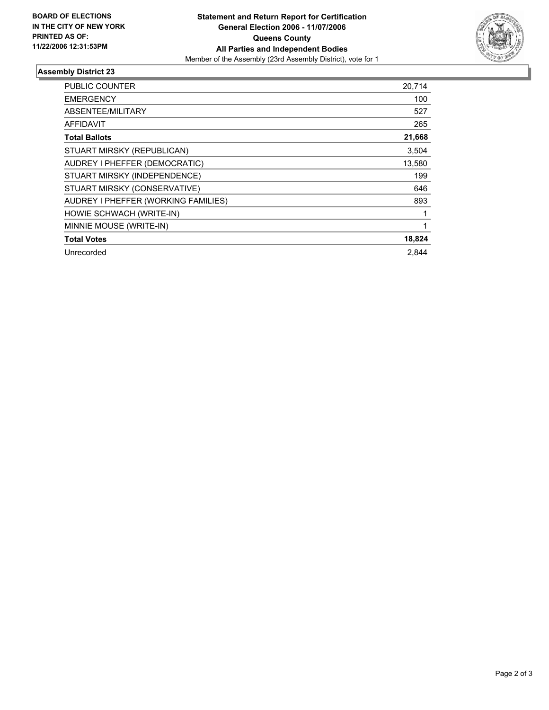

## **Assembly District 23**

| <b>PUBLIC COUNTER</b>               | 20,714 |
|-------------------------------------|--------|
| <b>EMERGENCY</b>                    | 100    |
| ABSENTEE/MILITARY                   | 527    |
| AFFIDAVIT                           | 265    |
| <b>Total Ballots</b>                | 21,668 |
| STUART MIRSKY (REPUBLICAN)          | 3,504  |
| AUDREY I PHEFFER (DEMOCRATIC)       | 13,580 |
| STUART MIRSKY (INDEPENDENCE)        | 199    |
| STUART MIRSKY (CONSERVATIVE)        | 646    |
| AUDREY I PHEFFER (WORKING FAMILIES) | 893    |
| HOWIE SCHWACH (WRITE-IN)            |        |
| MINNIE MOUSE (WRITE-IN)             |        |
| <b>Total Votes</b>                  | 18,824 |
| Unrecorded                          | 2.844  |